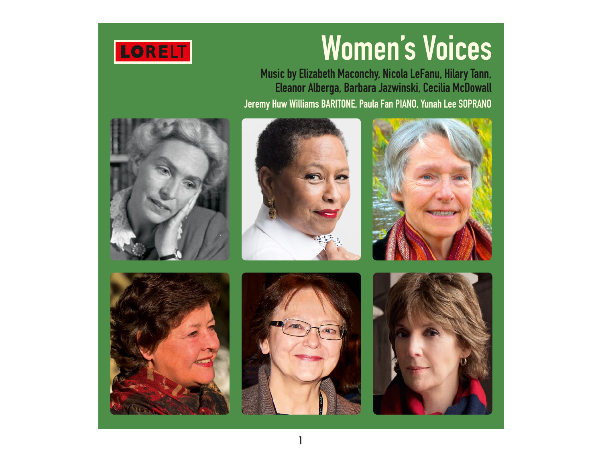

PAGE 16 PAGE 1

# **Women's Voices**

**Music by Elizabeth Maconchy, Nicola LeFanu, Hilary Tann, Eleanor Alberga, Barbara Jazwinski, Cecilia McDowall Jeremy Huw Williams BARITONE, Paula Fan PIANO, Yunah Lee SOPRANO**



1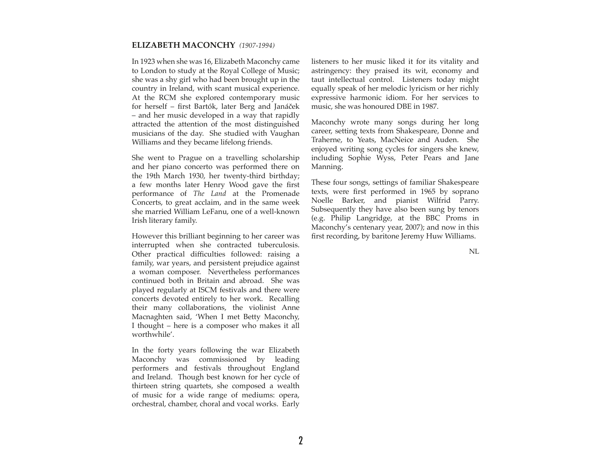#### **ELIZABETH MACONCHY** *(1907-1994)*

In 1923 when she was 16, Elizabeth Maconchy came to London to study at the Royal College of Music; she was a shy girl who had been brought up in the country in Ireland, with scant musical experience. At the RCM she explored contemporary music for herself – first Bartók, later Berg and Janáček – and her music developed in a way that rapidly attracted the attention of the most distinguished musicians of the day. She studied with Vaughan Williams and they became lifelong friends.

She went to Prague on a travelling scholarship and her piano concerto was performed there on the 19th March 1930, her twenty-third birthday; a few months later Henry Wood gave the first performance of *The Land* at the Promenade Concerts, to great acclaim, and in the same week she married William LeFanu, one of a well-known Irish literary family.

However this brilliant beginning to her career was interrupted when she contracted tuberculosis. Other practical difficulties followed: raising a family, war years, and persistent prejudice against a woman composer. Nevertheless performances continued both in Britain and abroad. She was played regularly at ISCM festivals and there were concerts devoted entirely to her work. Recalling their many collaborations, the violinist Anne Macnaghten said, 'When I met Betty Maconchy, I thought – here is a composer who makes it all worthwhile'.

In the forty years following the war Elizabeth Maconchy was commissioned by leading performers and festivals throughout England and Ireland. Though best known for her cycle of thirteen string quartets, she composed a wealth of music for a wide range of mediums: opera, orchestral, chamber, choral and vocal works. Early listeners to her music liked it for its vitality and astringency: they praised its wit, economy and taut intellectual control. Listeners today might equally speak of her melodic lyricism or her richly expressive harmonic idiom. For her services to music, she was honoured DBE in 1987.

Maconchy wrote many songs during her long career, setting texts from Shakespeare, Donne and Traherne, to Yeats, MacNeice and Auden. She enjoyed writing song cycles for singers she knew, including Sophie Wyss, Peter Pears and Jane Manning.

These four songs, settings of familiar Shakespeare texts, were first performed in 1965 by soprano Noelle Barker, and pianist Wilfrid Parry. Subsequently they have also been sung by tenors (e.g. Philip Langridge, at the BBC Proms in Maconchy's centenary year, 2007); and now in this first recording, by baritone Jeremy Huw Williams.

NL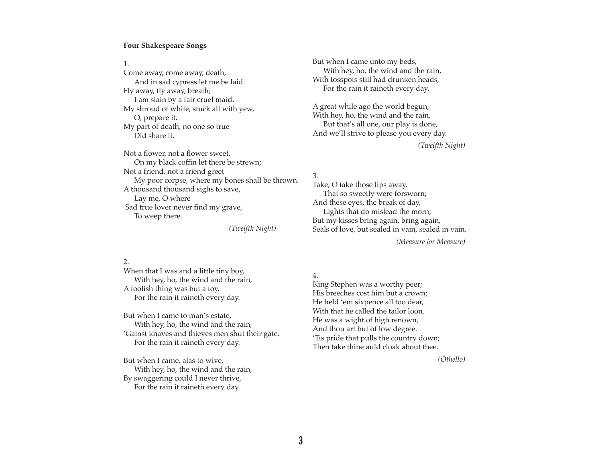#### **Four Shakespeare Songs**

#### 1.

Come away, come away, death, And in sad cypress let me be laid. Fly away, fly away, breath; I am slain by a fair cruel maid. My shroud of white, stuck all with yew, O, prepare it. My part of death, no one so true Did share it.

Not a flower, not a flower sweet, On my black coffin let there be strewn; Not a friend, not a friend greet My poor corpse, where my bones shall be thrown. A thousand thousand sighs to save, Lay me, O where Sad true lover never find my grave, To weep there.

 *(Twelfth Night)*

But when I came unto my beds, With hey, ho, the wind and the rain, With tosspots still had drunken heads, For the rain it raineth every day.

A great while ago the world begun, With hey, ho, the wind and the rain, But that's all one, our play is done, And we'll strive to please you every day.

 *(Twelfth Night)*

#### 3.

Take, O take those lips away, That so sweetly were forsworn; And these eyes, the break of day, Lights that do mislead the morn; But my kisses bring again, bring again, Seals of love, but sealed in vain, sealed in vain.

 *(Measure for Measure)*

# 2.

When that I was and a little tiny boy, With hey, ho, the wind and the rain, A foolish thing was but a toy, For the rain it raineth every day.

But when I came to man's estate, With hey, ho, the wind and the rain, 'Gainst knaves and thieves men shut their gate, For the rain it raineth every day.

But when I came, alas to wive, With hey, ho, the wind and the rain, By swaggering could I never thrive, For the rain it raineth every day.

#### 4.

King Stephen was a worthy peer; His breeches cost him but a crown; He held 'em sixpence all too dear, With that he called the tailor loon. He was a wight of high renown, And thou art but of low degree. 'Tis pride that pulls the country down; Then take thine auld cloak about thee.

 *(Othello)*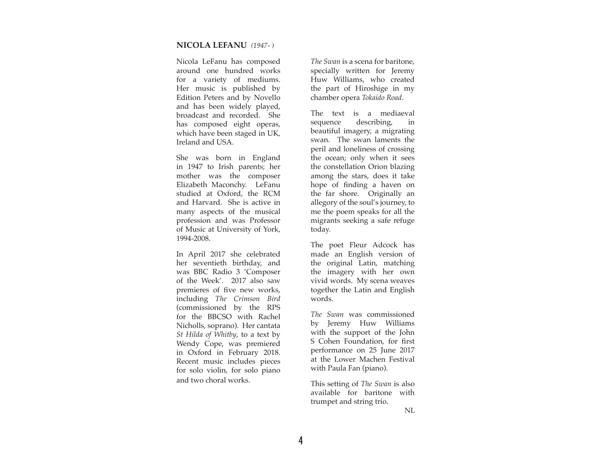#### **NICOLA LEFANU** *(1947- )*

Nicola LeFanu has composed around one hundred works for a variety of mediums. Her music is published by Sufflagitate *Summon Orion* and has been widely played, Oriona, *to light my way.* broadcast and recorded. She effugitantes *Sweep the western* has composed eight operas, nubes occiduas. *Clouds from my vision.'* which have been staged in UK, Ireland and USA. Edition Peters and by Novello

venit rutile *vermilion dawn* adminicula aurora. *came to his rescue.* She was born in England mother was the composer Elizabeth Maconchy. LeFanu studied at Oxford, the RCM Ovatizans *Now he exulted* iam agebatur *feeling himself flung* profession and was Professor processic of Music at University of York,<br>1994-2008 sidera. *constellations.* in 1947 to Irish parents; her and Harvard. She is active in many aspects of the musical 1994-2008.

Hilarata *Joy overtook him;* In April 2017 she celebrated her seventieth birthday, and was BBC Radio 3 'Composer of the Week'. 2017 also saw premieres of five new works, Dulcimode cantitans *Singing his melodies* (commissioned by the RPS for the BBCSO with Rachel Nicholls, soprano). Her cantata Concurrite omnia *Come now, all you multitudes St Hilda of Whitby*, to a text by Wendy Cope, was premiered in Oxford in February 2018. for solo violin, for solo piano and two choral works. including *The Crimson Bird* Recent music includes pieces

*The Swan* is a scena for baritone, specially written for Jeremy Huw Williams, who created the part of Hiroshige in my external *according* to the ocean. *and chamber opera <i>Tokaido Road*.

The text is a mediaeval sequence describing, in beautiful imagery, a migrating swan. The swan laments the peril and loneliness of crossing the ocean; only when it sees the constellation Orion blazing among the stars, does it take hope of finding a haven on the far shore. Originally an allegory of the soul's journey, to me the poem speaks for all the me the poem speaks for an the migrants seeking a safe refuge today. O quam amare *Bitterly he grieved* lamentabatur, arida *for what he had abandoned*  inniti *support me freely* lucida non potero *here in this brightly*

The poet Fleur Adcock has made an English version of the original Latin, matching the imagery with her own vivid words. My scena weaves together the Latin and English words. Angor inter arta *I am confined between*

The Swan was commissioned by Jeremy Huw Williams gemens alatizo *Flying I moan* with the support of the John s Cohen Foundation, for first performance on 25 June 2017 Cernens copiosa *I can see pasture* at the Lower Machen Festival with Paula Fan (piano). **but in denso in density in the crow** 

This setting of *The Swan* is also available for baritone with trumpet and string trio. gurgitum assumere *I cannot snatch a bite* alimenta optima. *for my own good nurture.*

NL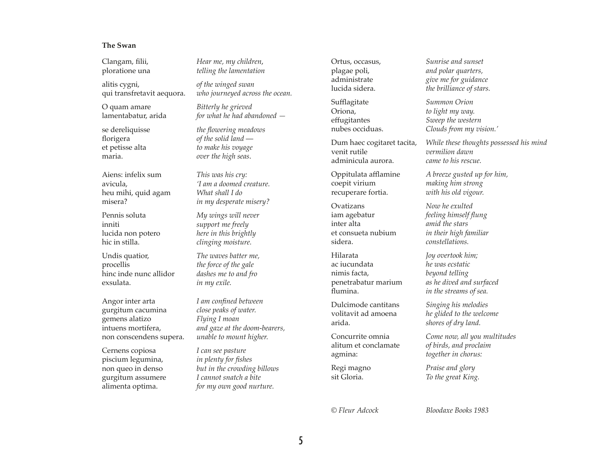#### **The Swan The Swan**

Clangam, filii, ploratione una *telling the lamentation*

alitis cygni, *of the winged swan* qui transfretavit aequora. *who journeyed across the ocean.*

O quam amare *Bitterly he grieved* lamentabatur, arida *for what he had abandoned —*

se dereliquisse *the flowering meadows* florigera *of the solid land* et petisse alta *to make his voyage*

Aiens: infelix sum *This was his cry:* Aiens: infelix sum *This was his cry:* heu mihi, quid agam *What shall I do* heu mihi, quid agam *What shall I do* misera? *in my desperate misery?* misera? *in my desperate misery?*

inniti *support me freely* inniti *support me freely* lucida non potero *here in this brightly* hic in stilla. *clinging moisture.*

Undis quatior, procellis *the force of the gale* procellis *the force of the gale* hinc inde nunc allidor *dashes me to and fro* hinc inde nunc allidor *dashes me to and fro* exsulata. *in my exile.*

Angor inter arta gurgitum cacumina *close peaks of water.* gurgitum cacumina *close peaks of water.* gemens alatizo *Flying I moan* gemens alatizo *Flying I moan*

Cernens copiosa *I can see pasture* Cernens copiosa *I can see pasture* piscium legumina, *in plenty for fishes* piscium legumina, *in plenty for fishes* non queo in denso *but in the crowding billows* gurgitum assumere *I cannot snatch a bite* gurgitum assumere *I cannot snatch a bite* alimenta optima. *for my own good nurture.*

Clangam, filii, *Hear me, my children*, ploratione una *telling the lamentation*

of the winged swan who journeyed across the ocean.

Bitterly he grieved for what he had abandoned —

maria. *over the high seas*. maria. *over the high seas*. the *flowering* meadows of the solid land to make his voyage

avicula, *'I am a doomed creature.* avicula, *'I am a doomed creature.*

Pennis soluta *My wings will never* Pennis soluta *My wings will never* here *in this brightly* hic in stilla. *clinging moisture.*

> The *waves batter me*, in my exile.

intuens mortifera, *and gaze at the doom-bearers,* intuens mortifera, *and gaze at the doom-bearers,* non conscendens supera. *unable to mount higher.* non conscendens supera. *unable to mount higher.* Angor inter arta *I am confined between*

> but in the crowding billows for my own good nurture.

venit rutile *vermilion dawn* venit rutile *vermilion dawn* adminicula aurora. *came to his rescue.*

recuperare fortia. *with his old vigour.*  recuperare fortia. *with his old vigour.* 

Ovatizans *Now he exulted* Ovatizans *Now he exulted* iam agebatur *feeling himself flung* iam agebatur *feeling himself flung* inter alta *amid the stars* inter alta *amid the stars* et consueta nubium *in their high familiar* et consueta nubium *in their high familiar* sidera. *constellations.* sidera. *constellations.*

nimis facta, *beyond telling* nimis facta, *beyond telling* flumina. *in the streams of sea.* flumina. *in the streams of sea.*

arida. *shores of dry land.* arida. *shores of dry land.*

agmina: *together in chorus:* agmina: *together in chorus:*

Ortus, occasus, *Sunrise and sunset* Ortus, occasus, *Sunrise and sunset* plagae poli, *and polar quarters,* plagae poli, *and polar quarters,* administrate *give me for guidance* administrate *give me for guidance* lucida sidera. *the brilliance of stars.* lucida sidera. *the brilliance of stars.*

Sufflagitate *Summon Orion* Sufflagitate *Summon Orion* Oriona, *to light my way.* Oriona, *to light my way.* effugitantes *Sweep the western* effugitantes *Sweep the western* nubes occiduas. *Clouds from my vision.'* nubes occiduas. *Clouds from my vision.'*

Dum haec cogitaret tacita, *While these thoughts possessed his mind* Dum haec cogitaret tacita, *While these thoughts possessed his mind* came to his rescue.

Oppitulata afflamine *A breeze gusted up for him,* Oppitulata afflamine *A breeze gusted up for him,* coepit virium *making him strong* coepit virium *making him strong*

Hilarata *Joy overtook him;* Hilarata *Joy overtook him;* ac iucundata *he was ecstatic* ac iucundata *he was ecstatic* penetrabatur marium *as he dived and surfaced* penetrabatur marium *as he dived and surfaced*

Dulcimode cantitans *Singing his melodies* Dulcimode cantitans *Singing his melodies* volitavit ad amoena *he glided to the welcome*  volitavit ad amoena *he glided to the welcome* 

Concurrite omnia *Come now, all you multitudes* Concurrite omnia *Come now, all you multitudes* alitum et conclamate *of birds, and proclaim* alitum et conclamate *of birds, and proclaim*

Regi magno *Praise and glory* Regi magno *Praise and glory* sit Gloria. *To the great King.* sit Gloria. *To the great King.*

*© Fleur Adcock Bloodaxe Books 1983 © Fleur Adcock Bloodaxe Books 1983*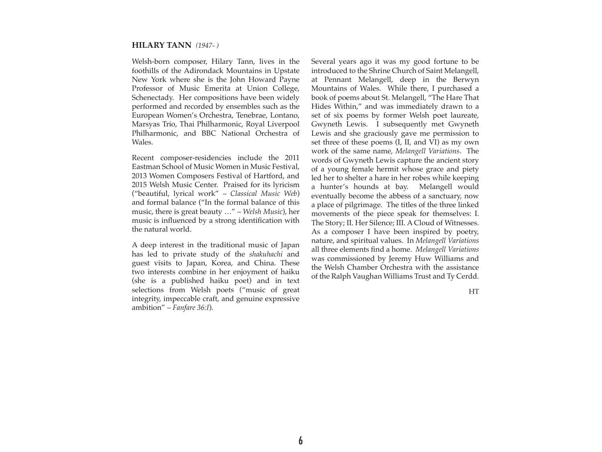#### **HILARY TANN** *(1947- )*

Welsh-born composer, Hilary Tann, lives in the foothills of the Adirondack Mountains in Upstate New York where she is the John Howard Payne Professor of Music Emerita at Union College, Schenectady. Her compositions have been widely performed and recorded by ensembles such as the European Women's Orchestra, Tenebrae, Lontano, Marsyas Trio, Thai Philharmonic, Royal Liverpool Philharmonic, and BBC National Orchestra of Wales.

Recent composer-residencies include the 2011 Eastman School of Music Women in Music Festival, 2013 Women Composers Festival of Hartford, and 2015 Welsh Music Center. Praised for its lyricism ("beautiful, lyrical work" – *Classical Music Web*) and formal balance ("In the formal balance of this music, there is great beauty …" – *Welsh Music*), her music is influenced by a strong identification with the natural world.

A deep interest in the traditional music of Japan has led to private study of the *shakuhachi* and guest visits to Japan, Korea, and China. These two interests combine in her enjoyment of haiku (she is a published haiku poet) and in text selections from Welsh poets ("music of great integrity, impeccable craft, and genuine expressive ambition" – *Fanfare 36:I*).

Several years ago it was my good fortune to be introduced to the Shrine Church of Saint Melangell, at Pennant Melangell, deep in the Berwyn Mountains of Wales. While there, I purchased a book of poems about St. Melangell, "The Hare That Hides Within," and was immediately drawn to a set of six poems by former Welsh poet laureate, Gwyneth Lewis. I subsequently met Gwyneth Lewis and she graciously gave me permission to set three of these poems (I, II, and VI) as my own work of the same name, *Melangell Variations*. The words of Gwyneth Lewis capture the ancient story of a young female hermit whose grace and piety led her to shelter a hare in her robes while keeping a hunter's hounds at bay. Melangell would eventually become the abbess of a sanctuary, now a place of pilgrimage. The titles of the three linked movements of the piece speak for themselves: I. The Story; II. Her Silence; III. A Cloud of Witnesses. As a composer I have been inspired by poetry, nature, and spiritual values. In *Melangell Variations* all three elements find a home. *Melangell Variations* was commissioned by Jeremy Huw Williams and the Welsh Chamber Orchestra with the assistance of the Ralph Vaughan Williams Trust and Ty Cerdd.

HT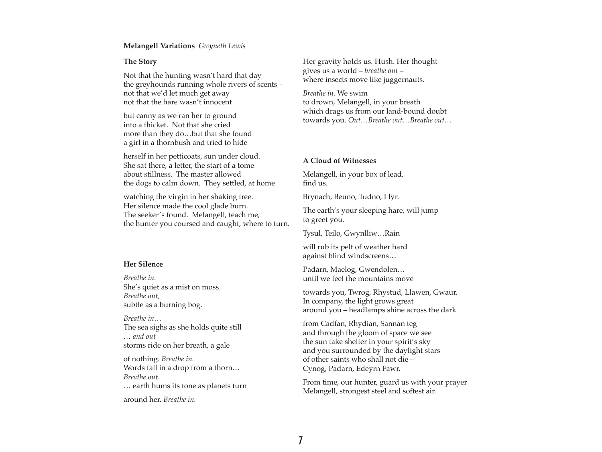#### **Melangell Variations** *Gwyneth Lewis*

#### **The Story**

Not that the hunting wasn't hard that day – the greyhounds running whole rivers of scents – not that we'd let much get away not that the hare wasn't innocent

but canny as we ran her to ground into a thicket. Not that she cried more than they do…but that she found a girl in a thornbush and tried to hide

herself in her petticoats, sun under cloud. She sat there, a letter, the start of a tome about stillness. The master allowed the dogs to calm down. They settled, at home

watching the virgin in her shaking tree. Her silence made the cool glade burn. The seeker's found. Melangell, teach me, the hunter you coursed and caught, where to turn.

#### **Her Silence**

*Breathe in.* She's quiet as a mist on moss. *Breathe out,* subtle as a burning bog.

*Breathe in…* The sea sighs as she holds quite still *… and out* storms ride on her breath, a gale

of nothing. *Breathe in.* Words fall in a drop from a thorn… *Breathe out.* … earth hums its tone as planets turn around her. *Breathe in.*

Her gravity holds us. Hush. Her thought gives us a world – *breathe out* – where insects move like juggernauts.

*Breathe in.* We swim to drown, Melangell, in your breath which drags us from our land-bound doubt towards you. *Out…Breathe out…Breathe out…*

#### **A Cloud of Witnesses**

Melangell, in your box of lead, find us.

Brynach, Beuno, Tudno, Llyr.

The earth's your sleeping hare, will jump to greet you.

Tysul, Teilo, Gwynlliw…Rain

will rub its pelt of weather hard against blind windscreens…

Padarn, Maelog, Gwendolen… until we feel the mountains move

towards you, Twrog, Rhystud, Llawen, Gwaur. In company, the light grows great around you – headlamps shine across the dark

from Cadfan, Rhydian, Sannan teg and through the gloom of space we see the sun take shelter in your spirit's sky and you surrounded by the daylight stars of other saints who shall not die – Cynog, Padarn, Edeyrn Fawr.

From time, our hunter, guard us with your prayer Melangell, strongest steel and softest air.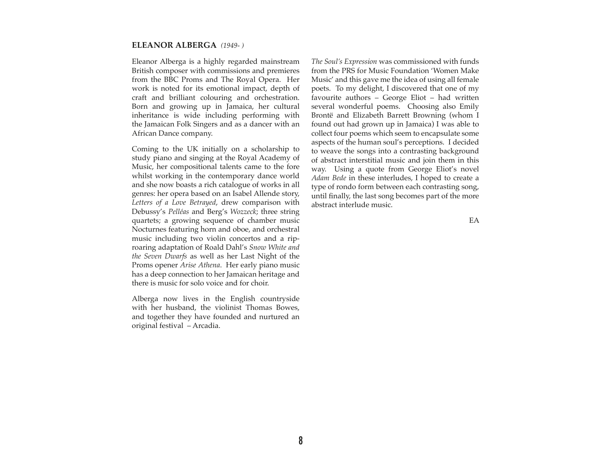#### **ELEANOR ALBERGA** *(1949- )*

Eleanor Alberga is a highly regarded mainstream British composer with commissions and premieres from the BBC Proms and The Royal Opera. Her work is noted for its emotional impact, depth of craft and brilliant colouring and orchestration. Born and growing up in Jamaica, her cultural inheritance is wide including performing with the Jamaican Folk Singers and as a dancer with an African Dance company.

Coming to the UK initially on a scholarship to study piano and singing at the Royal Academy of Music, her compositional talents came to the fore whilst working in the contemporary dance world and she now boasts a rich catalogue of works in all genres: her opera based on an Isabel Allende story, *Letters of a Love Betrayed*, drew comparison with Debussy's *Pelléas* and Berg's *Wozzeck*; three string quartets; a growing sequence of chamber music Nocturnes featuring horn and oboe, and orchestral music including two violin concertos and a riproaring adaptation of Roald Dahl's *Snow White and the Seven Dwarfs* as well as her Last Night of the Proms opener *Arise Athena*. Her early piano music has a deep connection to her Jamaican heritage and there is music for solo voice and for choir.

Alberga now lives in the English countryside with her husband, the violinist Thomas Bowes, and together they have founded and nurtured an original festival – Arcadia.

*The Soul's Expression* was commissioned with funds from the PRS for Music Foundation 'Women Make Music' and this gave me the idea of using all female poets. To my delight, I discovered that one of my favourite authors – George Eliot – had written several wonderful poems. Choosing also Emily Brontë and Elizabeth Barrett Browning (whom I found out had grown up in Jamaica) I was able to collect four poems which seem to encapsulate some aspects of the human soul's perceptions. I decided to weave the songs into a contrasting background of abstract interstitial music and join them in this way. Using a quote from George Eliot's novel *Adam Bede* in these interludes, I hoped to create a type of rondo form between each contrasting song, until finally, the last song becomes part of the more abstract interlude music.

EA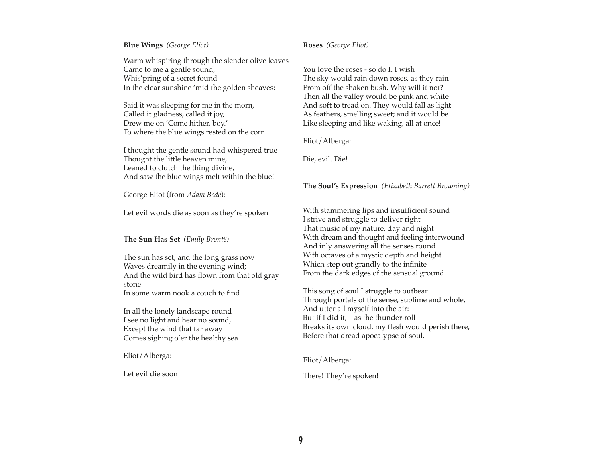#### **Blue Wings** *(George Eliot)*

Warm whisp'ring through the slender olive leaves Came to me a gentle sound, Whis'pring of a secret found In the clear sunshine 'mid the golden sheaves:

Said it was sleeping for me in the morn, Called it gladness, called it joy, Drew me on 'Come hither, boy.' To where the blue wings rested on the corn.

I thought the gentle sound had whispered true Thought the little heaven mine, Leaned to clutch the thing divine, And saw the blue wings melt within the blue!

George Eliot (from *Adam Bede*):

Let evil words die as soon as they're spoken

**The Sun Has Set** *(Emily Brontë)*

The sun has set, and the long grass now Waves dreamily in the evening wind; And the wild bird has flown from that old gray stone In some warm nook a couch to find.

In all the lonely landscape round I see no light and hear no sound, Except the wind that far away Comes sighing o'er the healthy sea.

Eliot/Alberga:

Let evil die soon

**Roses** *(George Eliot)*

You love the roses - so do I. I wish The sky would rain down roses, as they rain From off the shaken bush. Why will it not? Then all the valley would be pink and white And soft to tread on. They would fall as light As feathers, smelling sweet; and it would be Like sleeping and like waking, all at once!

Eliot/Alberga:

Die, evil. Die!

**The Soul's Expression** *(Elizabeth Barrett Browning)*

With stammering lips and insufficient sound I strive and struggle to deliver right That music of my nature, day and night With dream and thought and feeling interwound And inly answering all the senses round With octaves of a mystic depth and height Which step out grandly to the infinite From the dark edges of the sensual ground.

This song of soul I struggle to outbear Through portals of the sense, sublime and whole, And utter all myself into the air: But if I did it, – as the thunder-roll Breaks its own cloud, my flesh would perish there, Before that dread apocalypse of soul.

Eliot/Alberga:

There! They're spoken!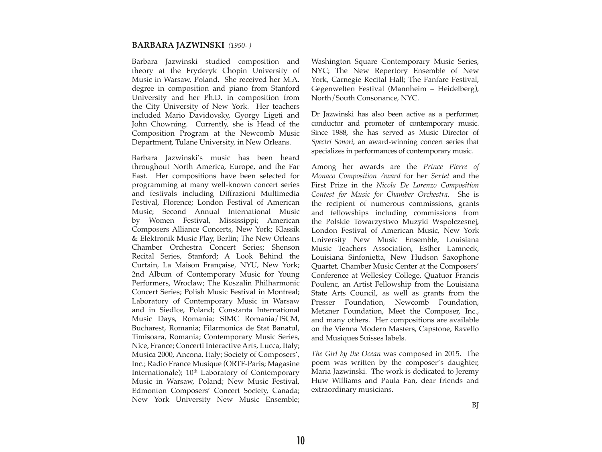#### **BARBARA JAZWINSKI** (1950- )

Barbara Jazwinski studied composition and theory at the Fryderyk Chopin University of Music in Warsaw, Poland. She received her M.A. degree in composition and piano from Stanford University and her Ph.D. in composition from the City University of New York. Her teachers included Mario Davidovsky, Gyorgy Ligeti and John Chowning. Currently, she is Head of the Composition Program at the Newcomb Music Department, Tulane University, in New Orleans.

Barbara Jazwinski's music has been heard throughout North America, Europe, and the Far East. Her compositions have been selected for programming at many well-known concert series and festivals including Diffrazioni Multimedia Festival, Florence; London Festival of American Music; Second Annual International Music by Women Festival, Mississippi; American Composers Alliance Concerts, New York; Klassik & Elektronik Music Play, Berlin; The New Orleans Chamber Orchestra Concert Series; Shenson Recital Series, Stanford; A Look Behind the Curtain, La Maison Française, NYU, New York; 2nd Album of Contemporary Music for Young Performers, Wroclaw; The Koszalin Philharmonic Concert Series; Polish Music Festival in Montreal; Laboratory of Contemporary Music in Warsaw and in Siedlce, Poland; Constanta International Music Days, Romania; SIMC Romania/ISCM, Bucharest, Romania; Filarmonica de Stat Banatul, Timisoara, Romania; Contemporary Music Series, Nice, France; Concerti Interactive Arts, Lucca, Italy; Musica 2000, Ancona, Italy; Society of Composers', Inc.; Radio France Musique (ORTF-Paris; Magasine Internationale); 10<sup>th</sup> Laboratory of Contemporary Music in Warsaw, Poland; New Music Festival, Edmonton Composers' Concert Society, Canada; New York University New Music Ensemble;

Washington Square Contemporary Music Series, NYC; The New Repertory Ensemble of New York, Carnegie Recital Hall; The Fanfare Festival, Gegenwelten Festival (Mannheim – Heidelberg), North/South Consonance, NYC.

Dr Jazwinski has also been active as a performer, conductor and promoter of contemporary music. Since 1988, she has served as Music Director of *Spectri Sonori*, an award-winning concert series that specializes in performances of contemporary music.

Among her awards are the *Prince Pierre of Monaco Composition Award* for her *Sextet* and the First Prize in the *Nicola De Lorenzo Composition Contest for Music for Chamber Orchestra.* She is the recipient of numerous commissions, grants and fellowships including commissions from the Polskie Towarzystwo Muzyki Wspolczesnej, London Festival of American Music, New York University New Music Ensemble, Louisiana Music Teachers Association, Esther Lamneck, Louisiana Sinfonietta, New Hudson Saxophone Quartet, Chamber Music Center at the Composers' Conference at Wellesley College, Quatuor Francis Poulenc, an Artist Fellowship from the Louisiana State Arts Council, as well as grants from the Presser Foundation, Newcomb Foundation, Metzner Foundation, Meet the Composer, Inc., and many others. Her compositions are available on the Vienna Modern Masters, Capstone, Ravello and Musiques Suisses labels.

*The Girl by the Ocean* was composed in 2015. The poem was written by the composer's daughter, Maria Jazwinski. The work is dedicated to Jeremy Huw Williams and Paula Fan, dear friends and extraordinary musicians.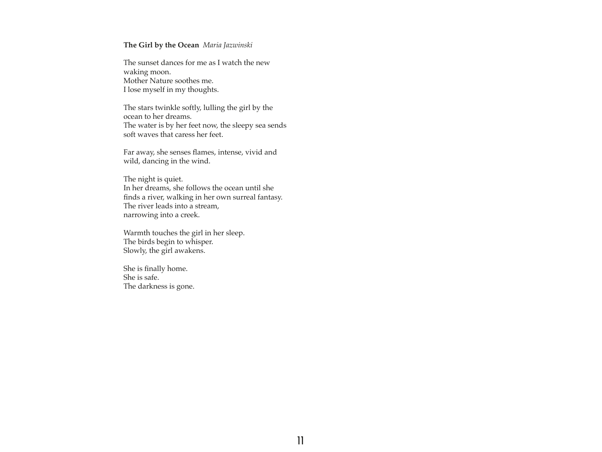### **BARBARA JAZWINSKI** *(1950- )* **The Girl by the Ocean** *Maria Jazwinski*

The sunset dances for me as I watch the new waking moon. Mother Nature soothes me. I lose myself in my thoughts.

The stars twinkle softly, lulling the girl by the ocean to her dreams. The water is by her feet now, the sleepy sea sends soft waves that caress her feet.

Far away, she senses flames, intense, vivid and wild, dancing in the wind.

The night is quiet. In her dreams, she follows the ocean until she finds a river, walking in her own surreal fantasy. The river leads into a stream, narrowing into a creek.

Warmth touches the girl in her sleep. The birds begin to whisper. Slowly, the girl awakens.

She is finally home. She is safe. The darkness is gone.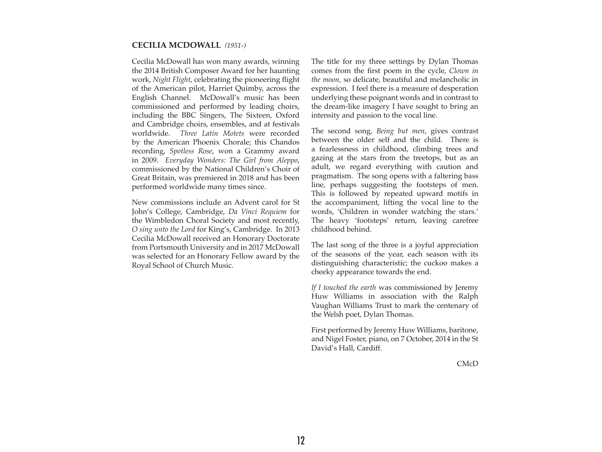#### **CECILIA MCDOWALL** (1951-)

Cecilia McDowall has won many awards, winning the 2014 British Composer Award for her haunting work, *Night Flight*, celebrating the pioneering flight of the American pilot, Harriet Quimby, across the English Channel.McDowall's music has been commissioned and performed by leading choirs, including the BBC Singers, The Sixteen, Oxford and Cambridge choirs, ensembles, and at festivals worldwide. *Three Latin Motets* were recorded by the American Phoenix Chorale; this Chandos recording, *Spotless Rose*, won a Grammy award in 2009. *Everyday Wonders: The Girl from Aleppo*, commissioned by the National Children's Choir of Great Britain, was premiered in 2018 and has been performed worldwide many times since.

New commissions include an Advent carol for St John's College, Cambridge, *Da Vinci Requiem* for the Wimbledon Choral Society and most recently, *O sing unto the Lord* for King's, Cambridge. In 2013 Cecilia McDowall received an Honorary Doctorate from Portsmouth University and in 2017 McDowall was selected for an Honorary Fellow award by the Royal School of Church Music.

The title for my three settings by Dylan Thomas comes from the first poem in the cycle, *Clown in the moon,* so delicate, beautiful and melancholic in expression. I feel there is a measure of desperation underlying these poignant words and in contrast to the dream-like imagery I have sought to bring an intensity and passion to the vocal line.

The second song, *Being but men*, gives contrast between the older self and the child. There is a fearlessness in childhood, climbing trees and gazing at the stars from the treetops, but as an adult, we regard everything with caution and pragmatism. The song opens with a faltering bass line, perhaps suggesting the footsteps of men. This is followed by repeated upward motifs in the accompaniment, lifting the vocal line to the words, 'Children in wonder watching the stars.' The heavy 'footsteps' return, leaving carefree childhood behind.

The last song of the three is a joyful appreciation of the seasons of the year, each season with its distinguishing characteristic; the cuckoo makes a cheeky appearance towards the end.

*If I touched the earth* was commissioned by Jeremy Huw Williams in association with the Ralph Vaughan Williams Trust to mark the centenary of the Welsh poet, Dylan Thomas.

First performed by Jeremy Huw Williams, baritone, and Nigel Foster, piano, on 7 October, 2014 in the St David's Hall, Cardiff.

CMcD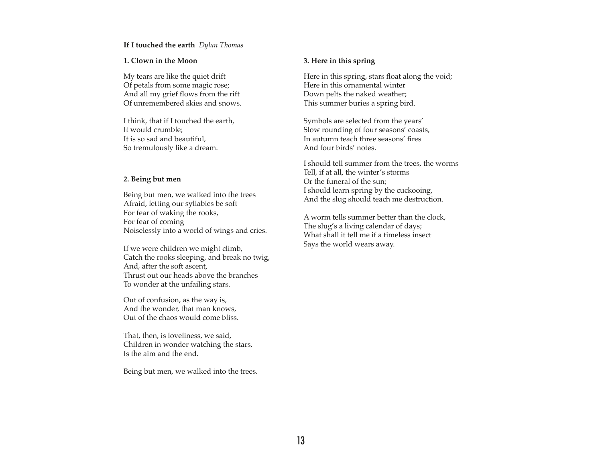#### **CECILIA MCDOWALL** *(1951-)* **If I touched the earth** *Dylan Thomas*

#### **1. Clown in the Moon**

My tears are like the quiet drift Of petals from some magic rose; And all my grief flows from the rift Of unremembered skies and snows.

I think, that if I touched the earth, It would crumble; It is so sad and beautiful, So tremulously like a dream.

#### **2. Being but men**

Being but men, we walked into the trees Afraid, letting our syllables be soft For fear of waking the rooks, For fear of coming Noiselessly into a world of wings and cries.

If we were children we might climb, Catch the rooks sleeping, and break no twig, And, after the soft ascent, Thrust out our heads above the branches To wonder at the unfailing stars.

Out of confusion, as the way is, And the wonder, that man knows, Out of the chaos would come bliss.

That, then, is loveliness, we said, Children in wonder watching the stars, Is the aim and the end.

Being but men, we walked into the trees.

#### **3. Here in this spring**

Here in this spring, stars float along the void; Here in this ornamental winter Down pelts the naked weather; This summer buries a spring bird.

Symbols are selected from the years' Slow rounding of four seasons' coasts, In autumn teach three seasons' fires And four birds' notes.

I should tell summer from the trees, the worms Tell, if at all, the winter's storms Or the funeral of the sun; I should learn spring by the cuckooing, And the slug should teach me destruction.

A worm tells summer better than the clock, The slug's a living calendar of days; What shall it tell me if a timeless insect Says the world wears away.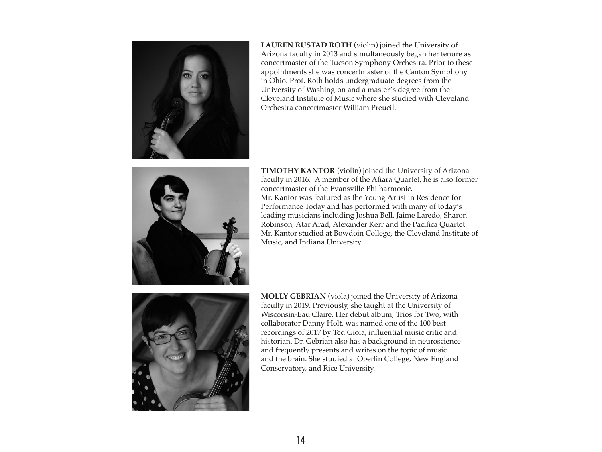

**LAUREN RUSTAD ROTH** (violin) joined the University of Arizona faculty in 2013 and simultaneously began her tenure as concertmaster of the Tucson Symphony Orchestra. Prior to these appointments she was concertmaster of the Canton Symphony in Ohio. Prof. Roth holds undergraduate degrees from the University of Washington and a master's degree from the Cleveland Institute of Music where she studied with Cleveland Orchestra concertmaster William Preucil.



**TIMOTHY KANTOR** (violin) joined the University of Arizona faculty in 2016. A member of the Afiara Quartet, he is also former concertmaster of the Evansville Philharmonic. Mr. Kantor was featured as the Young Artist in Residence for Performance Today and has performed with many of today's leading musicians including Joshua Bell, Jaime Laredo, Sharon Robinson, Atar Arad, Alexander Kerr and the Pacifica Quartet. Mr. Kantor studied at Bowdoin College, the Cleveland Institute of Music, and Indiana University.



**MOLLY GEBRIAN** (viola) joined the University of Arizona faculty in 2019. Previously, she taught at the University of Wisconsin-Eau Claire. Her debut album, Trios for Two, with collaborator Danny Holt, was named one of the 100 best recordings of 2017 by Ted Gioia, influential music critic and historian. Dr. Gebrian also has a background in neuroscience and frequently presents and writes on the topic of music and the brain. She studied at Oberlin College, New England Conservatory, and Rice University.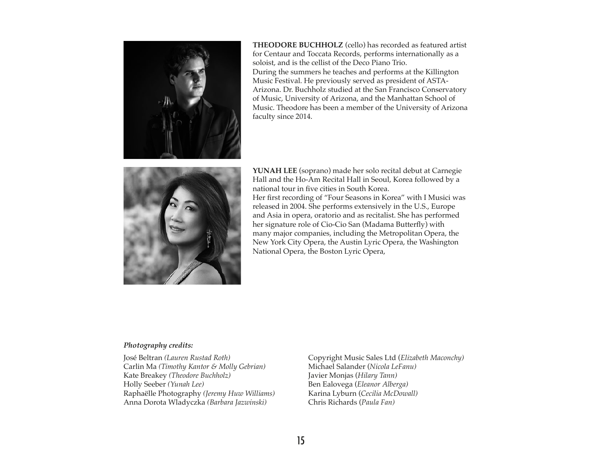

**THEODORE BUCHHOLZ** (cello) has recorded as featured artist for Centaur and Toccata Records, performs internationally as a soloist, and is the cellist of the Deco Piano Trio. During the summers he teaches and performs at the Killington Music Festival. He previously served as president of ASTA-Arizona. Dr. Buchholz studied at the San Francisco Conservatory of Music, University of Arizona, and the Manhattan School of Music. Theodore has been a member of the University of Arizona faculty since 2014.



**YUNAH LEE** (soprano) made her solo recital debut at Carnegie Hall and the Ho-Am Recital Hall in Seoul, Korea followed by a national tour in five cities in South Korea. Her first recording of "Four Seasons in Korea" with I Musici was released in 2004. She performs extensively in the U.S., Europe and Asia in opera, oratorio and as recitalist. She has performed her signature role of Cio-Cio San (Madama Butterfly) with many major companies, including the Metropolitan Opera, the New York City Opera, the Austin Lyric Opera, the Washington National Opera, the Boston Lyric Opera,

#### *Photography credits:*

José Beltran *(Lauren Rustad Roth)* Carlin Ma *(Timothy Kantor & Molly Gebrian)*  Kate Breakey *(Theodore Buchholz)*  Holly Seeber *(Yunah Lee)*  Raphaëlle Photography *(Jeremy Huw Williams)* Anna Dorota Wladyczka *(Barbara Jazwinski)*

Copyright Music Sales Ltd (*Elizabeth Maconchy)* Michael Salander (*Nicola LeFanu)* Javier Monjas (*Hilary Tann)* Ben Ealovega (*Eleanor Alberga)* Karina Lyburn (*Cecilia McDowall)* Chris Richards (*Paula Fan)*